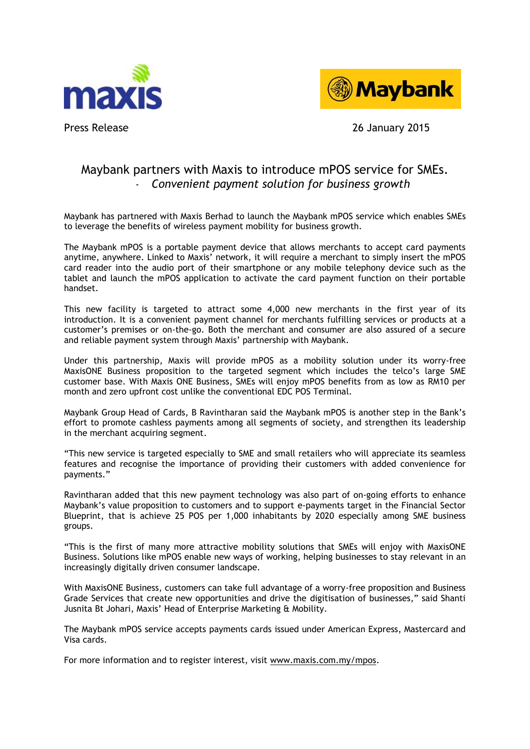



Press Release 26 January 2015

## Maybank partners with Maxis to introduce mPOS service for SMEs. - *Convenient payment solution for business growth*

Maybank has partnered with Maxis Berhad to launch the Maybank mPOS service which enables SMEs to leverage the benefits of wireless payment mobility for business growth.

The Maybank mPOS is a portable payment device that allows merchants to accept card payments anytime, anywhere. Linked to Maxis' network, it will require a merchant to simply insert the mPOS card reader into the audio port of their smartphone or any mobile telephony device such as the tablet and launch the mPOS application to activate the card payment function on their portable handset.

This new facility is targeted to attract some 4,000 new merchants in the first year of its introduction. It is a convenient payment channel for merchants fulfilling services or products at a customer's premises or on-the-go. Both the merchant and consumer are also assured of a secure and reliable payment system through Maxis' partnership with Maybank.

Under this partnership, Maxis will provide mPOS as a mobility solution under its worry-free MaxisONE Business proposition to the targeted segment which includes the telco's large SME customer base. With Maxis ONE Business, SMEs will enjoy mPOS benefits from as low as RM10 per month and zero upfront cost unlike the conventional EDC POS Terminal.

Maybank Group Head of Cards, B Ravintharan said the Maybank mPOS is another step in the Bank's effort to promote cashless payments among all segments of society, and strengthen its leadership in the merchant acquiring segment.

"This new service is targeted especially to SME and small retailers who will appreciate its seamless features and recognise the importance of providing their customers with added convenience for payments."

Ravintharan added that this new payment technology was also part of on-going efforts to enhance Maybank's value proposition to customers and to support e-payments target in the Financial Sector Blueprint, that is achieve 25 POS per 1,000 inhabitants by 2020 especially among SME business groups.

"This is the first of many more attractive mobility solutions that SMEs will enjoy with MaxisONE Business. Solutions like mPOS enable new ways of working, helping businesses to stay relevant in an increasingly digitally driven consumer landscape.

With MaxisONE Business, customers can take full advantage of a worry-free proposition and Business Grade Services that create new opportunities and drive the digitisation of businesses," said Shanti Jusnita Bt Johari, Maxis' Head of Enterprise Marketing & Mobility.

The Maybank mPOS service accepts payments cards issued under American Express, Mastercard and Visa cards.

For more information and to register interest, visit [www.maxis.com.my/mpos.](http://www.maxis.com.my/mpos)